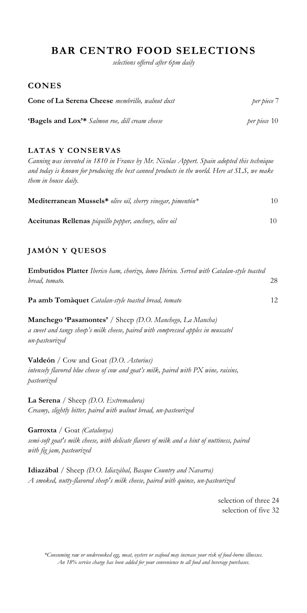## **BAR CENTRO FOOD SELECTIONS**

*selections offered after 6pm daily*

#### **CONES**

| <b>Cone of La Serena Cheese</b> membrillo, walnut dust           | per piece 7  |
|------------------------------------------------------------------|--------------|
| <b>Bagels and Lox<sup>3*</sup></b> Salmon roe, dill cream cheese | per piece 10 |

#### **LATAS Y CONSERVAS**

*Canning was invented in 1810 in France by Mr. Nicolas Appert. Spain adopted this technique and today is known for producing the best canned products in the world. Here at SLS, we make them in house daily.*

| Mediterranean Mussels* olive oil, sherry vinegar, pimentón* | 10  |
|-------------------------------------------------------------|-----|
| Aceitunas Rellenas piquillo pepper, anchovy, olive oil      | 10. |

### **JAMÓN Y QUESOS**

| <b>Embutidos Platter</b> Iberico ham, chorizo, lomo Ibérico. Served with Catalan-style toasted |    |
|------------------------------------------------------------------------------------------------|----|
| bread, tomato.                                                                                 |    |
|                                                                                                |    |
| Pa amb Tomàquet Catalan-style toasted bread, tomato                                            | 12 |

**Manchego 'Pasamontes'** / Sheep *(D.O. Manchego, La Mancha) a sweet and tangy sheep's milk cheese, paired with compressed apples in muscatel un-pasteurized*

**Valdeón** / Cow and Goat *(D.O. Asturius) intensely flavored blue cheese of cow and goat's milk, paired with PX wine, raisins, pasteurized*

**La Serena** / Sheep *(D.O. Extremadura) Creamy, slightly bitter, paired with walnut bread, un-pasteurized*

**Garroxta** / Goat *(Catalunya) semi-soft goat's milk cheese, with delicate flavors of milk and a hint of nuttiness, paired with fig jam, pasteurized*

**Idiazábal** / Sheep *(D.O. Idiazábal, Basque Country and Navarra) A smoked, nutty-flavored sheep's milk cheese, paired with quince, un-pasteurized*

> selection of three 24 selection of five 32

*\*Consuming raw or undercooked egg, meat, oysters or seafood may increase your risk of food-borne illnesses*. *An 18% service charge has been added for your convenience to all food and beverage purchases.*